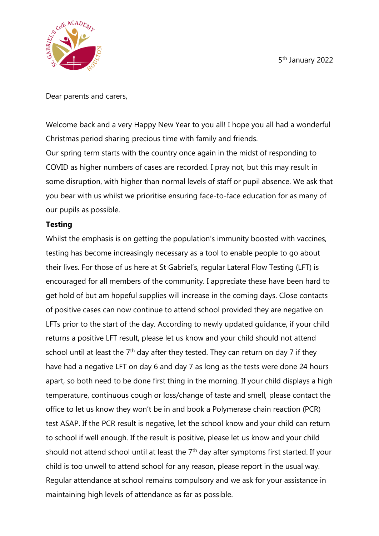5 th January 2022



Dear parents and carers,

Welcome back and a very Happy New Year to you all! I hope you all had a wonderful Christmas period sharing precious time with family and friends. Our spring term starts with the country once again in the midst of responding to COVID as higher numbers of cases are recorded. I pray not, but this may result in some disruption, with higher than normal levels of staff or pupil absence. We ask that you bear with us whilst we prioritise ensuring face-to-face education for as many of our pupils as possible.

## **Testing**

Whilst the emphasis is on getting the population's immunity boosted with vaccines, testing has become increasingly necessary as a tool to enable people to go about their lives. For those of us here at St Gabriel's, regular Lateral Flow Testing (LFT) is encouraged for all members of the community. I appreciate these have been hard to get hold of but am hopeful supplies will increase in the coming days. Close contacts of positive cases can now continue to attend school provided they are negative on LFTs prior to the start of the day. According to newly updated guidance, if your child returns a positive LFT result, please let us know and your child should not attend school until at least the  $7<sup>th</sup>$  day after they tested. They can return on day 7 if they have had a negative LFT on day 6 and day 7 as long as the tests were done 24 hours apart, so both need to be done first thing in the morning. If your child displays a high temperature, continuous cough or loss/change of taste and smell, please contact the office to let us know they won't be in and book a Polymerase chain reaction (PCR) test ASAP. If the PCR result is negative, let the school know and your child can return to school if well enough. If the result is positive, please let us know and your child should not attend school until at least the 7<sup>th</sup> day after symptoms first started. If your child is too unwell to attend school for any reason, please report in the usual way. Regular attendance at school remains compulsory and we ask for your assistance in maintaining high levels of attendance as far as possible.